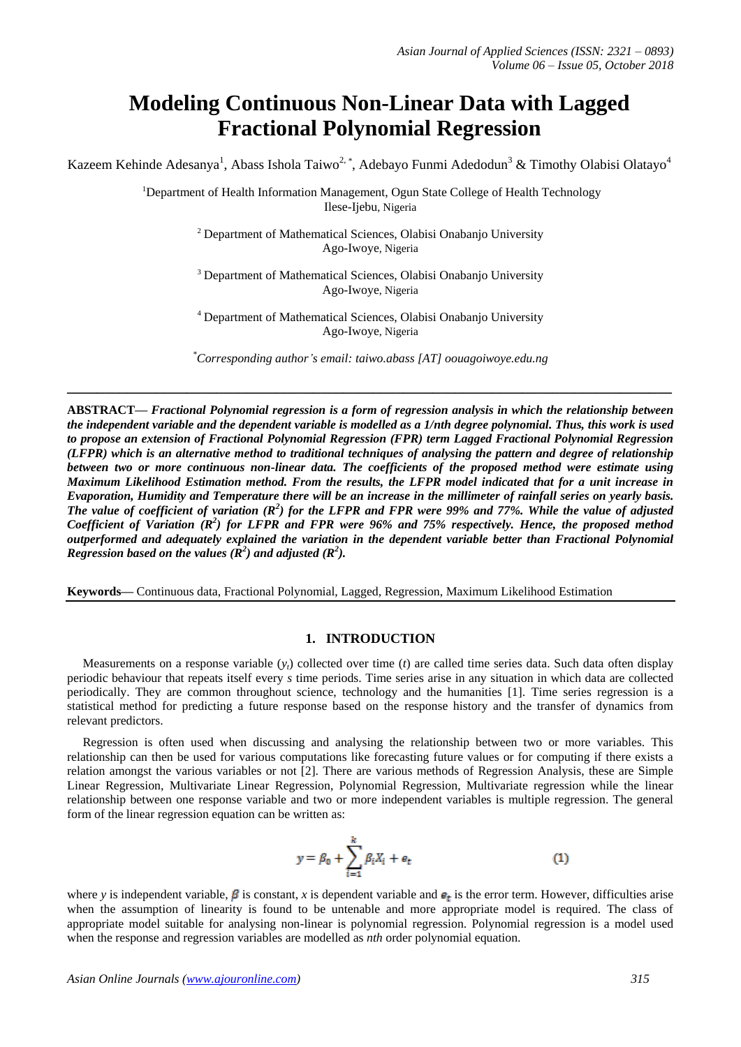# **Modeling Continuous Non-Linear Data with Lagged Fractional Polynomial Regression**

Kazeem Kehinde Adesanya<sup>1</sup>, Abass Ishola Taiwo<sup>2, \*</sup>, Adebayo Funmi Adedodun<sup>3</sup> & Timothy Olabisi Olatayo<sup>4</sup>

<sup>1</sup>Department of Health Information Management, Ogun State College of Health Technology Ilese-Ijebu, Nigeria

> <sup>2</sup> Department of Mathematical Sciences, Olabisi Onabanjo University Ago-Iwoye, Nigeria

> <sup>3</sup> Department of Mathematical Sciences, Olabisi Onabanjo University Ago-Iwoye, Nigeria

> <sup>4</sup> Department of Mathematical Sciences, Olabisi Onabanjo University Ago-Iwoye, Nigeria

*\*Corresponding author's email: taiwo.abass [AT] oouagoiwoye.edu.ng*

**\_\_\_\_\_\_\_\_\_\_\_\_\_\_\_\_\_\_\_\_\_\_\_\_\_\_\_\_\_\_\_\_\_\_\_\_\_\_\_\_\_\_\_\_\_\_\_\_\_\_\_\_\_\_\_\_\_\_\_\_\_\_\_\_\_\_\_\_\_\_\_\_\_\_\_\_\_\_\_\_\_**

**ABSTRACT—** *Fractional Polynomial regression is a form of regression analysis in which the relationship between the independent variable and the dependent variable is modelled as a 1/nth degree polynomial. Thus, this work is used to propose an extension of Fractional Polynomial Regression (FPR) term Lagged Fractional Polynomial Regression (LFPR) which is an alternative method to traditional techniques of analysing the pattern and degree of relationship between two or more continuous non-linear data. The coefficients of the proposed method were estimate using Maximum Likelihood Estimation method. From the results, the LFPR model indicated that for a unit increase in Evaporation, Humidity and Temperature there will be an increase in the millimeter of rainfall series on yearly basis.*  The value of coefficient of variation  $(R^2)$  for the LFPR and FPR were 99% and 77%. While the value of adjusted *Coefficient of Variation (R<sup>2</sup> ) for LFPR and FPR were 96% and 75% respectively. Hence, the proposed method outperformed and adequately explained the variation in the dependent variable better than Fractional Polynomial Regression based on the values*  $(R^2)$  and adjusted  $(R^2)$ .

**Keywords—** Continuous data, Fractional Polynomial, Lagged, Regression, Maximum Likelihood Estimation

#### **1. INTRODUCTION**

Measurements on a response variable  $(y_t)$  collected over time  $(t)$  are called time series data. Such data often display periodic behaviour that repeats itself every *s* time periods. Time series arise in any situation in which data are collected periodically. They are common throughout science, technology and the humanities [1]. Time series regression is a statistical method for predicting a future response based on the response history and the transfer of dynamics from relevant predictors.

 Regression is often used when discussing and analysing the relationship between two or more variables. This relationship can then be used for various computations like forecasting future values or for computing if there exists a relation amongst the various variables or not [2]. There are various methods of Regression Analysis, these are Simple Linear Regression, Multivariate Linear Regression, Polynomial Regression, Multivariate regression while the linear relationship between one response variable and two or more independent variables is multiple regression. The general form of the linear regression equation can be written as:

$$
y = \beta_0 + \sum_{i=1}^{k} \beta_i X_i + e_t \tag{1}
$$

where *y* is independent variable,  $\beta$  is constant, *x* is dependent variable and  $\epsilon_t$  is the error term. However, difficulties arise when the assumption of linearity is found to be untenable and more appropriate model is required. The class of appropriate model suitable for analysing non-linear is polynomial regression. Polynomial regression is a model used when the response and regression variables are modelled as *nth* order polynomial equation.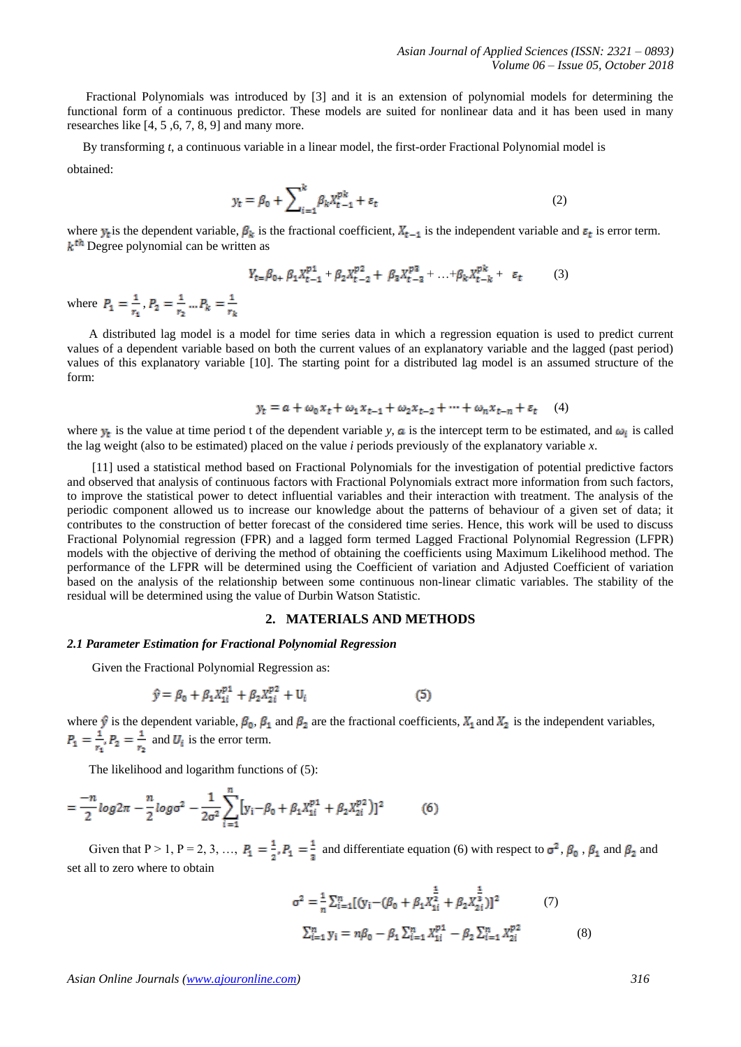Fractional Polynomials was introduced by [3] and it is an extension of polynomial models for determining the functional form of a continuous predictor. These models are suited for nonlinear data and it has been used in many researches like [4, 5 ,6, 7, 8, 9] and many more.

By transforming *t*, a continuous variable in a linear model, the first-order Fractional Polynomial model is

obtained:

$$
y_t = \beta_0 + \sum_{i=1}^k \beta_k X_{t-1}^{pk} + \varepsilon_t \tag{2}
$$

where  $y_t$  is the dependent variable,  $\beta_k$  is the fractional coefficient,  $X_{t-1}$  is the independent variable and  $\varepsilon_t$  is error term.  $k^{\text{th}}$  Degree polynomial can be written as

$$
Y_{t} = \beta_{0+} \beta_1 X_{t-1}^{p1} + \beta_2 X_{t-2}^{p2} + \beta_3 X_{t-3}^{p3} + \dots + \beta_k X_{t-k}^{pk} + \varepsilon_t \tag{3}
$$

where  $P_1 = \frac{1}{r_1}$ ,  $P_2 = \frac{1}{r_2}$  ...  $P_k = \frac{1}{r_k}$ 

 A distributed lag model is a model for time series data in which a regression equation is used to predict current values of a dependent variable based on both the current values of an explanatory variable and the lagged (past period) values of this explanatory variable [10]. The starting point for a distributed lag model is an assumed structure of the form:

$$
y_t = a + \omega_0 x_t + \omega_1 x_{t-1} + \omega_2 x_{t-2} + \dots + \omega_n x_{t-n} + \varepsilon_t \tag{4}
$$

where  $y_t$  is the value at time period t of the dependent variable *y*, **a** is the intercept term to be estimated, and  $\omega_i$  is called the lag weight (also to be estimated) placed on the value *i* periods previously of the explanatory variable *x*.

 [11] used a statistical method based on Fractional Polynomials for the investigation of potential predictive factors and observed that analysis of continuous factors with Fractional Polynomials extract more information from such factors, to improve the statistical power to detect influential variables and their interaction with treatment. The analysis of the periodic component allowed us to increase our knowledge about the patterns of behaviour of a given set of data; it contributes to the construction of better forecast of the considered time series. Hence, this work will be used to discuss Fractional Polynomial regression (FPR) and a lagged form termed Lagged Fractional Polynomial Regression (LFPR) models with the objective of deriving the method of obtaining the coefficients using Maximum Likelihood method. The performance of the LFPR will be determined using the Coefficient of variation and Adjusted Coefficient of variation based on the analysis of the relationship between some continuous non-linear climatic variables. The stability of the residual will be determined using the value of Durbin Watson Statistic.

# **2. MATERIALS AND METHODS**

#### *2.1 Parameter Estimation for Fractional Polynomial Regression*

Given the Fractional Polynomial Regression as:

$$
\hat{y} = \beta_0 + \beta_1 X_{1i}^{p1} + \beta_2 X_{2i}^{p2} + U_i
$$
\n(5)

where  $\hat{y}$  is the dependent variable,  $\beta_0$ ,  $\beta_1$  and  $\beta_2$  are the fractional coefficients,  $X_1$  and  $X_2$  is the independent variables, and  $U_i$  is the error term.

The likelihood and logarithm functions of (5):

$$
= \frac{-n}{2} \log 2\pi - \frac{n}{2} \log \sigma^2 - \frac{1}{2\sigma^2} \sum_{i=1}^n \left[ y_i - \beta_0 + \beta_1 X_{1i}^{p1} + \beta_2 X_{2i}^{p2} \right] \right]^2 \tag{6}
$$

Given that P > 1, P = 2, 3, ...,  $P_1 = \frac{1}{2}$ ,  $P_1 = \frac{1}{3}$  and differentiate equation (6) with respect to  $\sigma^2$ ,  $\beta_0$ ,  $\beta_1$  and  $\beta_2$  and set all to zero where to obtain

$$
\sigma^{2} = \frac{1}{n} \sum_{i=1}^{n} [(y_{i} - (\beta_{0} + \beta_{1}X_{1i}^{\frac{1}{2}} + \beta_{2}X_{2i}^{\frac{1}{3}})]^{2}
$$
(7)  

$$
\sum_{i=1}^{n} y_{i} = n\beta_{0} - \beta_{1} \sum_{i=1}^{n} X_{1i}^{p1} - \beta_{2} \sum_{i=1}^{n} X_{2i}^{p2}
$$
(8)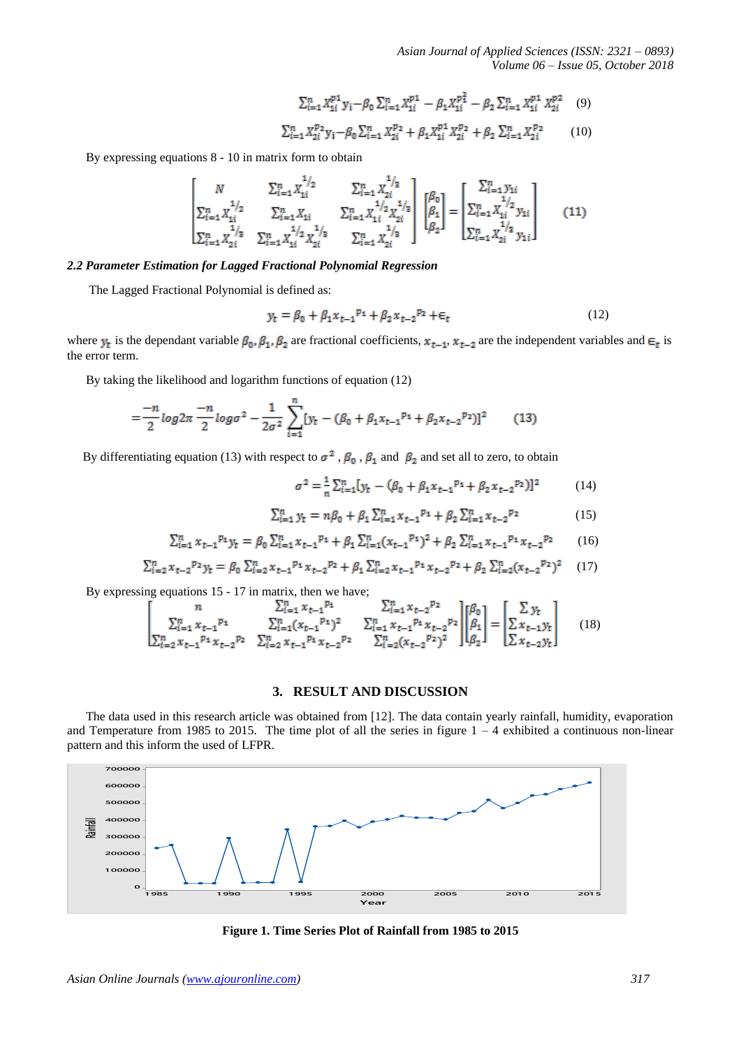*Asian Journal of Applied Sciences (ISSN: 2321 – 0893) Volume 06 – Issue 05, October 2018*

$$
\sum_{i=1}^{n} X_{1i}^{p1} y_i - \beta_0 \sum_{i=1}^{n} X_{1i}^{p1} - \beta_1 X_{1i}^{p2} - \beta_2 \sum_{i=1}^{n} X_{1i}^{p1} X_{2i}^{p2} \tag{9}
$$

$$
\sum_{i=1}^{n} X_{2i}^{p2} y_i - \beta_0 \sum_{i=1}^{n} X_{2i}^{p2} + \beta_1 X_{1i}^{p1} X_{2i}^{p2} + \beta_2 \sum_{i=1}^{n} X_{2i}^{p2} \tag{10}
$$

By expressing equations 8 - 10 in matrix form to obtain

$$
\begin{bmatrix} N & \sum_{i=1}^{n} X_{1i}^{1/2} & \sum_{i=1}^{n} X_{2i}^{1/2} \\ \sum_{i=1}^{n} X_{1i}^{1/2} & \sum_{i=1}^{n} X_{1i} & \sum_{i=1}^{n} X_{1i}^{1/2} X_{2i}^{1/2} \\ \sum_{i=1}^{n} X_{2i}^{1/2} & \sum_{i=1}^{n} X_{1i}^{1/2} X_{2i}^{1/2} & \sum_{i=1}^{n} X_{2i}^{1/2} \end{bmatrix} \begin{bmatrix} \beta_{0} \\ \beta_{1} \\ \beta_{2} \end{bmatrix} = \begin{bmatrix} \sum_{i=1}^{n} y_{1i} \\ \sum_{i=1}^{n} X_{1i}^{1/2} y_{1i} \\ \sum_{i=1}^{n} X_{2i}^{1/2} y_{1i} \end{bmatrix}
$$
(11)

## *2.2 Parameter Estimation for Lagged Fractional Polynomial Regression*

The Lagged Fractional Polynomial is defined as:

$$
y_t = \beta_0 + \beta_1 x_{t-1}^{p_1} + \beta_2 x_{t-2}^{p_2} + \epsilon_t
$$
 (12)

where  $y_t$  is the dependant variable  $\beta_0$ ,  $\beta_1$ ,  $\beta_2$  are fractional coefficients,  $x_{t-1}$ ,  $x_{t-2}$  are the independent variables and  $\epsilon_t$  is the error term.

By taking the likelihood and logarithm functions of equation (12)

$$
=\frac{-n}{2}\log 2\pi \frac{-n}{2}\log \sigma^2 - \frac{1}{2\sigma^2}\sum_{i=1}^n [y_t - (\beta_0 + \beta_1 x_{t-1}^{p_1} + \beta_2 x_{t-2}^{p_2})]^2
$$
(13)

By differentiating equation (13) with respect to  $\sigma^2$ ,  $\beta_0$ ,  $\beta_1$  and  $\beta_2$  and set all to zero, to obtain

$$
\sigma^2 = \frac{1}{n} \sum_{i=1}^n [y_t - (\beta_0 + \beta_1 x_{t-1}^{p_1} + \beta_2 x_{t-2}^{p_2})]^2
$$
 (14)

$$
\sum_{i=1}^{n} y_{t} = n\beta_{0} + \beta_{1} \sum_{i=1}^{n} x_{t-1}^{p_{1}} + \beta_{2} \sum_{i=1}^{n} x_{t-2}^{p_{2}}
$$
\n(15)

$$
\sum_{i=1}^{n} x_{t-1}^{p_1} y_t = \beta_0 \sum_{i=1}^{n} x_{t-1}^{p_1} + \beta_1 \sum_{i=1}^{n} (x_{t-1}^{p_1})^2 + \beta_2 \sum_{i=1}^{n} x_{t-1}^{p_1} x_{t-2}^{p_2}
$$
 (16)

$$
\sum_{i=2}^{n} x_{t-2}^{p_2} y_t = \beta_0 \sum_{i=2}^{n} x_{t-1}^{p_1} x_{t-2}^{p_2} + \beta_1 \sum_{i=2}^{n} x_{t-1}^{p_1} x_{t-2}^{p_2} + \beta_2 \sum_{i=2}^{n} (x_{t-2}^{p_2})^2 \tag{17}
$$

By expressing equations 15 - 17 in matrix, then we have;

$$
\begin{bmatrix} n & \sum_{i=1}^{n} x_{t-1}^{p_1} & \sum_{i=1}^{n} x_{t-1}^{p_2} \\ \sum_{i=2}^{n} x_{t-1}^{p_1} x_{t-2}^{p_2} & \sum_{i=2}^{n} (x_{t-1}^{p_1})^2 & \sum_{i=1}^{n} x_{t-1}^{p_1} x_{t-2}^{p_2} \\ \sum_{i=2}^{n} x_{t-1}^{p_1} x_{t-2}^{p_2} & \sum_{i=2}^{n} x_{t-1}^{p_1} x_{t-2}^{p_2} & \sum_{i=2}^{n} (x_{t-2}^{p_2})^2 \end{bmatrix} \begin{bmatrix} \beta_0 \\ \beta_1 \\ \beta_2 \end{bmatrix} = \begin{bmatrix} \sum y_t \\ \sum x_{t-1} y_t \\ \sum x_{t-2} y_t \end{bmatrix} \tag{18}
$$

### **3. RESULT AND DISCUSSION**

 The data used in this research article was obtained from [12]. The data contain yearly rainfall, humidity, evaporation and Temperature from 1985 to 2015. The time plot of all the series in figure  $1 - 4$  exhibited a continuous non-linear pattern and this inform the used of LFPR.



**Figure 1. Time Series Plot of Rainfall from 1985 to 2015**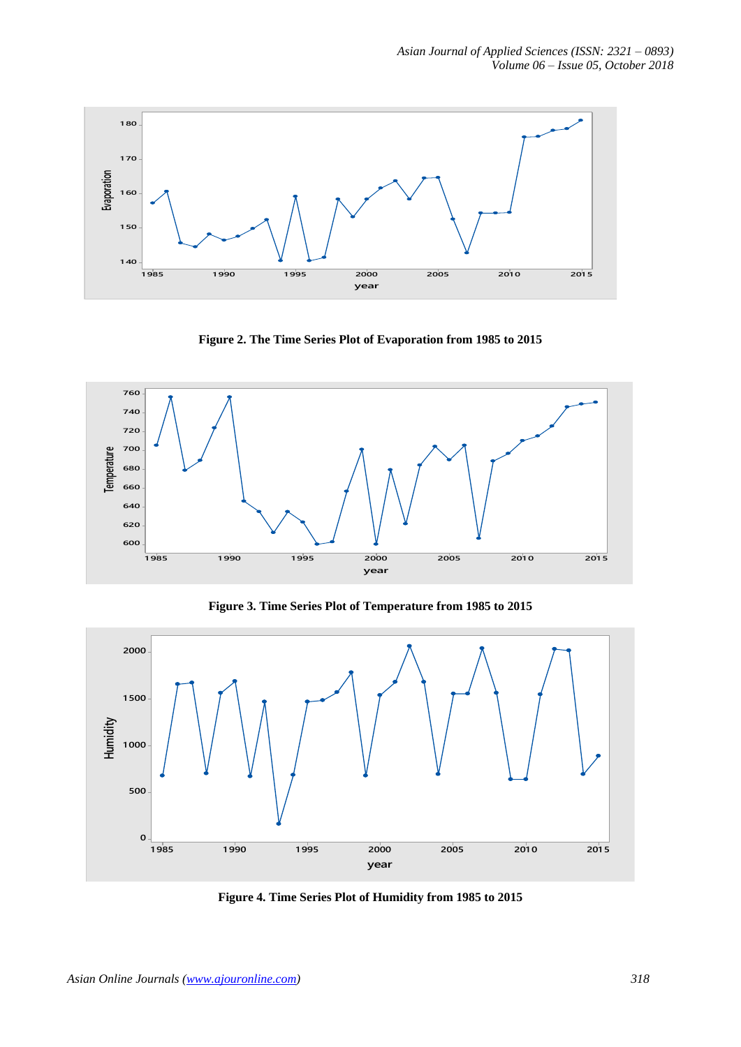

**Figure 2. The Time Series Plot of Evaporation from 1985 to 2015**



**Figure 3. Time Series Plot of Temperature from 1985 to 2015**



**Figure 4. Time Series Plot of Humidity from 1985 to 2015**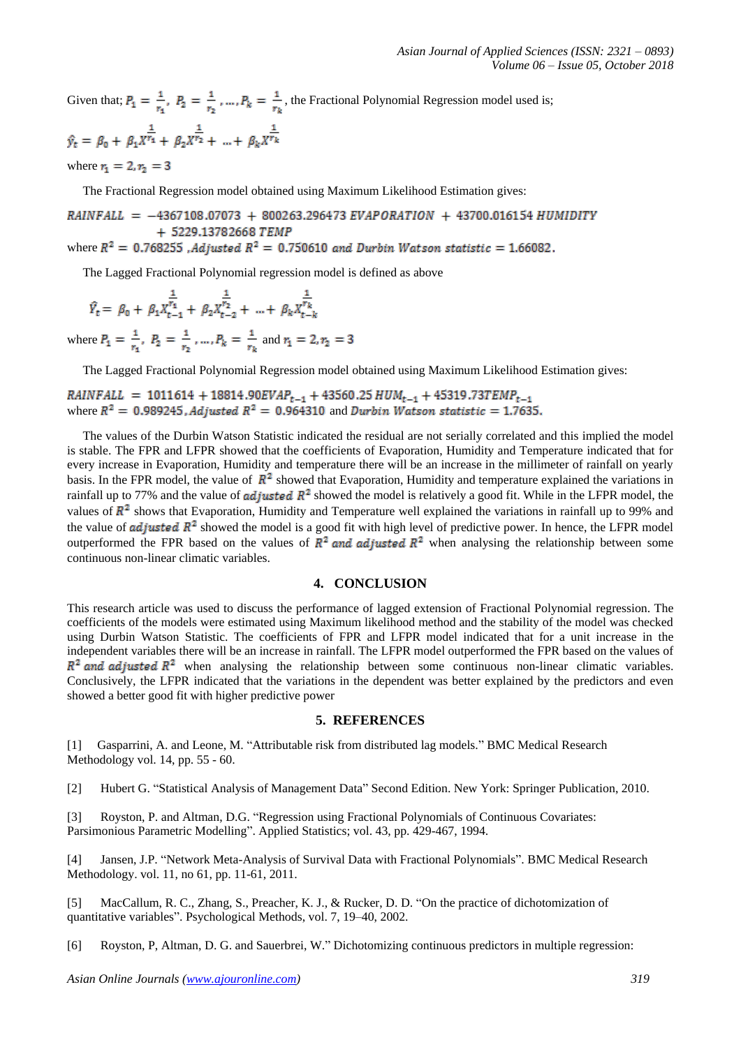Given that;  $P_1 = \frac{1}{r_1}$ ,  $P_2 = \frac{1}{r_2}$ , ...,  $P_k = \frac{1}{r_1}$ , the Fractional Polynomial Regression model used is;  $\hat{y}_t = \beta_0 + \beta_1 X^{\frac{1}{r_1}} + \beta_2 X^{\frac{1}{r_2}} + \dots + \beta_k X^{\frac{1}{r_k}}$ 

where  $r_1 = 2, r_2 = 3$ 

The Fractional Regression model obtained using Maximum Likelihood Estimation gives:

 $RAINFALL = -4367108.07073 + 800263.296473 EVAPORATION + 43700.016154 HUMIDITY$ + 5229.13782668 TEMP<br>where  $R^2 = 0.768255$ , Adjusted  $R^2 = 0.750610$  and Durbin Watson statistic = 1.66082.

The Lagged Fractional Polynomial regression model is defined as above

$$
\hat{Y_t} = \ \beta_0 \ + \ \beta_1 X_{t-1}^{\frac{1}{r_1}} \ + \ \beta_2 X_{t-2}^{\frac{1}{r_2}} \ + \ \ldots + \ \beta_k X_{t-k}^{\frac{1}{r_k}}
$$

where  $P_1 = \frac{1}{r_1}$ ,  $P_2 = \frac{1}{r_2}$ , ...,  $P_k = \frac{1}{r_k}$  and  $r_1 = 2$ ,  $r_2 = 3$ 

The Lagged Fractional Polynomial Regression model obtained using Maximum Likelihood Estimation gives:

*RAINFALL* = 1011614 + 18814.90*EVAP*<sub>t-1</sub> + 43560.25 *HUM*<sub>t-1</sub> + 45319.73*TEMP*<sub>t-1</sub> where  $R^2 = 0.989245$ , *Adjusted*  $R^2 = 0.964310$  and *Durbin Watson statistic* = 1.7635.

 The values of the Durbin Watson Statistic indicated the residual are not serially correlated and this implied the model is stable. The FPR and LFPR showed that the coefficients of Evaporation, Humidity and Temperature indicated that for every increase in Evaporation, Humidity and temperature there will be an increase in the millimeter of rainfall on yearly basis. In the FPR model, the value of  $\mathbb{R}^2$  showed that Evaporation, Humidity and temperature explained the variations in rainfall up to 77% and the value of *adjusted*  $\mathbb{R}^2$  showed the model is relatively a good fit. While in the LFPR model, the values of  $\mathbb{R}^2$  shows that Evaporation, Humidity and Temperature well explained the variations in rainfall up to 99% and the value of **adjusted**  $R^2$  showed the model is a good fit with high level of predictive power. In hence, the LFPR model outperformed the FPR based on the values of  $\mathbb{R}^2$  and adjusted  $\mathbb{R}^2$  when analysing the relationship between some continuous non-linear climatic variables.

## **4. CONCLUSION**

This research article was used to discuss the performance of lagged extension of Fractional Polynomial regression. The coefficients of the models were estimated using Maximum likelihood method and the stability of the model was checked using Durbin Watson Statistic. The coefficients of FPR and LFPR model indicated that for a unit increase in the independent variables there will be an increase in rainfall. The LFPR model outperformed the FPR based on the values of  $R^2$  and adjusted  $R^2$  when analysing the relationship between some continuous non-linear climatic variables. Conclusively, the LFPR indicated that the variations in the dependent was better explained by the predictors and even showed a better good fit with higher predictive power

#### **5. REFERENCES**

[1] Gasparrini, A. and Leone, M. "Attributable risk from distributed lag models." BMC Medical Research Methodology vol. 14, pp. 55 - 60.

[2] Hubert G. "Statistical Analysis of Management Data" Second Edition. New York: Springer Publication, 2010.

[3] Royston, P. and Altman, D.G. "Regression using Fractional Polynomials of Continuous Covariates: Parsimonious Parametric Modelling". Applied Statistics; vol. 43, pp. 429-467, 1994.

[4] Jansen, J.P. "Network Meta-Analysis of Survival Data with Fractional Polynomials". BMC Medical Research Methodology. vol. 11, no 61, pp. 11-61, 2011.

[5] MacCallum, R. C., Zhang, S., Preacher, K. J., & Rucker, D. D. "On the practice of dichotomization of quantitative variables". Psychological Methods, vol. 7, 19–40, 2002.

[6] Royston, P, Altman, D. G. and Sauerbrei, W." Dichotomizing continuous predictors in multiple regression: